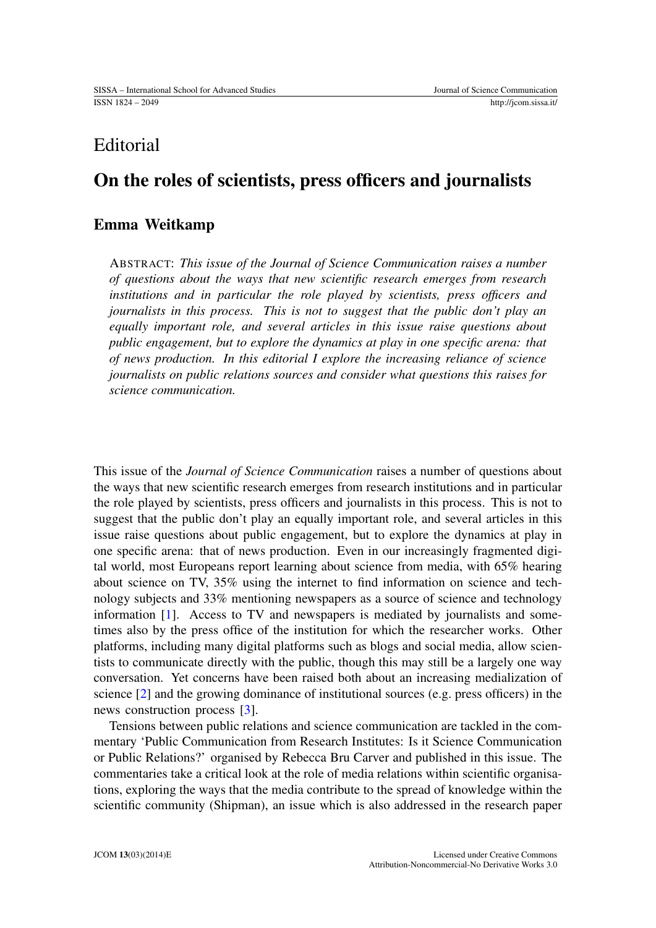# Editorial

## On the roles of scientists, press officers and journalists

### Emma Weitkamp

ABSTRACT: *This issue of the Journal of Science Communication raises a number of questions about the ways that new scientific research emerges from research institutions and in particular the role played by scientists, press officers and journalists in this process. This is not to suggest that the public don't play an equally important role, and several articles in this issue raise questions about public engagement, but to explore the dynamics at play in one specific arena: that of news production. In this editorial I explore the increasing reliance of science journalists on public relations sources and consider what questions this raises for science communication.*

This issue of the *Journal of Science Communication* raises a number of questions about the ways that new scientific research emerges from research institutions and in particular the role played by scientists, press officers and journalists in this process. This is not to suggest that the public don't play an equally important role, and several articles in this issue raise questions about public engagement, but to explore the dynamics at play in one specific arena: that of news production. Even in our increasingly fragmented digital world, most Europeans report learning about science from media, with 65% hearing about science on TV, 35% using the internet to find information on science and technology subjects and 33% mentioning newspapers as a source of science and technology information [\[1\]](#page-2-0). Access to TV and newspapers is mediated by journalists and sometimes also by the press office of the institution for which the researcher works. Other platforms, including many digital platforms such as blogs and social media, allow scientists to communicate directly with the public, though this may still be a largely one way conversation. Yet concerns have been raised both about an increasing medialization of science [\[2\]](#page-2-1) and the growing dominance of institutional sources (e.g. press officers) in the news construction process [\[3\]](#page-2-2).

Tensions between public relations and science communication are tackled in the commentary 'Public Communication from Research Institutes: Is it Science Communication or Public Relations?' organised by Rebecca Bru Carver and published in this issue. The commentaries take a critical look at the role of media relations within scientific organisations, exploring the ways that the media contribute to the spread of knowledge within the scientific community (Shipman), an issue which is also addressed in the research paper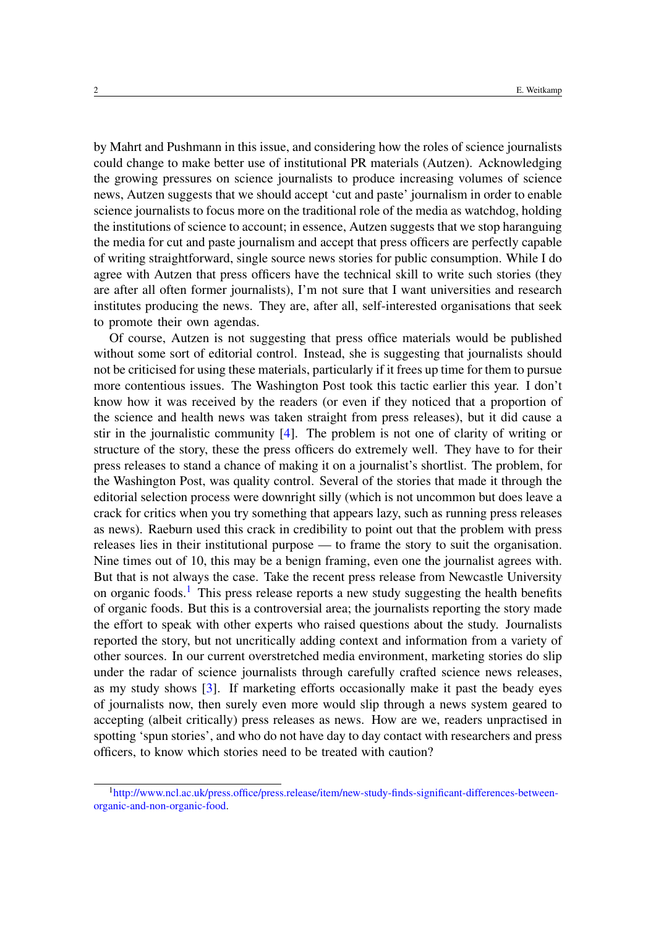by Mahrt and Pushmann in this issue, and considering how the roles of science journalists could change to make better use of institutional PR materials (Autzen). Acknowledging the growing pressures on science journalists to produce increasing volumes of science news, Autzen suggests that we should accept 'cut and paste' journalism in order to enable science journalists to focus more on the traditional role of the media as watchdog, holding the institutions of science to account; in essence, Autzen suggests that we stop haranguing the media for cut and paste journalism and accept that press officers are perfectly capable of writing straightforward, single source news stories for public consumption. While I do agree with Autzen that press officers have the technical skill to write such stories (they are after all often former journalists), I'm not sure that I want universities and research institutes producing the news. They are, after all, self-interested organisations that seek to promote their own agendas.

Of course, Autzen is not suggesting that press office materials would be published without some sort of editorial control. Instead, she is suggesting that journalists should not be criticised for using these materials, particularly if it frees up time for them to pursue more contentious issues. The Washington Post took this tactic earlier this year. I don't know how it was received by the readers (or even if they noticed that a proportion of the science and health news was taken straight from press releases), but it did cause a stir in the journalistic community [\[4\]](#page-2-3). The problem is not one of clarity of writing or structure of the story, these the press officers do extremely well. They have to for their press releases to stand a chance of making it on a journalist's shortlist. The problem, for the Washington Post, was quality control. Several of the stories that made it through the editorial selection process were downright silly (which is not uncommon but does leave a crack for critics when you try something that appears lazy, such as running press releases as news). Raeburn used this crack in credibility to point out that the problem with press releases lies in their institutional purpose — to frame the story to suit the organisation. Nine times out of 10, this may be a benign framing, even one the journalist agrees with. But that is not always the case. Take the recent press release from Newcastle University on organic foods.<sup>[1](#page-1-0)</sup> This press release reports a new study suggesting the health benefits of organic foods. But this is a controversial area; the journalists reporting the story made the effort to speak with other experts who raised questions about the study. Journalists reported the story, but not uncritically adding context and information from a variety of other sources. In our current overstretched media environment, marketing stories do slip under the radar of science journalists through carefully crafted science news releases, as my study shows [\[3\]](#page-2-2). If marketing efforts occasionally make it past the beady eyes of journalists now, then surely even more would slip through a news system geared to accepting (albeit critically) press releases as news. How are we, readers unpractised in spotting 'spun stories', and who do not have day to day contact with researchers and press officers, to know which stories need to be treated with caution?

<span id="page-1-0"></span><sup>1</sup>[http://www.ncl.ac.uk/press.office/press.release/item/new-study-finds-significant-differences-between](http://www.ncl.ac.uk/press.office/press.release/item/new-study-finds-significant-differences-between-organic-and-non-organic-food)[organic-and-non-organic-food.](http://www.ncl.ac.uk/press.office/press.release/item/new-study-finds-significant-differences-between-organic-and-non-organic-food)